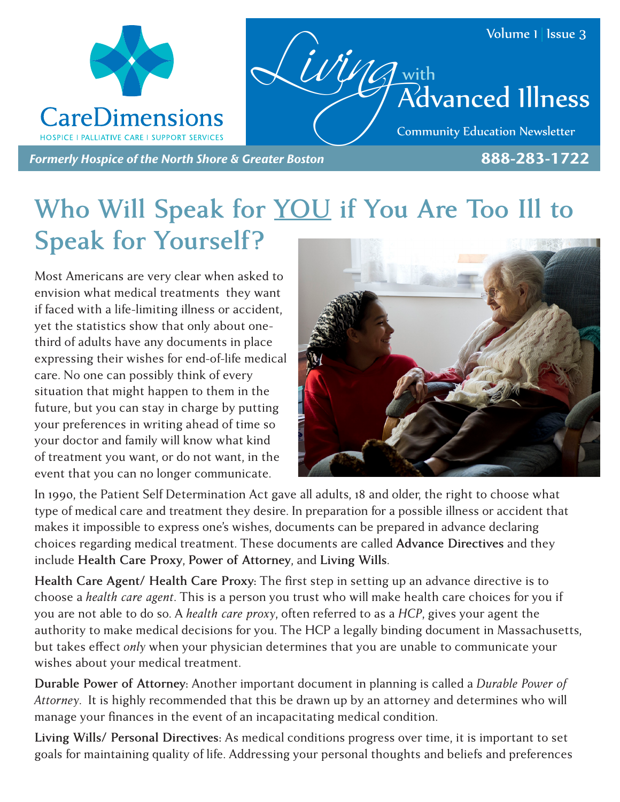

## **Who Will Speak for YOU if You Are Too Ill to Speak for Yourself?**

Most Americans are very clear when asked to envision what medical treatments they want if faced with a life-limiting illness or accident, yet the statistics show that only about onethird of adults have any documents in place expressing their wishes for end-of-life medical care. No one can possibly think of every situation that might happen to them in the future, but you can stay in charge by putting your preferences in writing ahead of time so your doctor and family will know what kind of treatment you want, or do not want, in the event that you can no longer communicate.



In 1990, the Patient Self Determination Act gave all adults, 18 and older, the right to choose what type of medical care and treatment they desire. In preparation for a possible illness or accident that makes it impossible to express one's wishes, documents can be prepared in advance declaring choices regarding medical treatment. These documents are called **Advance Directives** and they include **Health Care Proxy**, **Power of Attorney**, and **Living Wills**.

**Health Care Agent/ Health Care Proxy:** The first step in setting up an advance directive is to choose a *health care agent*. This is a person you trust who will make health care choices for you if you are not able to do so. A *health care proxy*, often referred to as a *HCP*, gives your agent the authority to make medical decisions for you. The HCP a legally binding document in Massachusetts, but takes effect *only* when your physician determines that you are unable to communicate your wishes about your medical treatment.

**Durable Power of Attorney:** Another important document in planning is called a *Durable Power of Attorney*. It is highly recommended that this be drawn up by an attorney and determines who will manage your finances in the event of an incapacitating medical condition.

**Living Wills/ Personal Directives:** As medical conditions progress over time, it is important to set goals for maintaining quality of life. Addressing your personal thoughts and beliefs and preferences